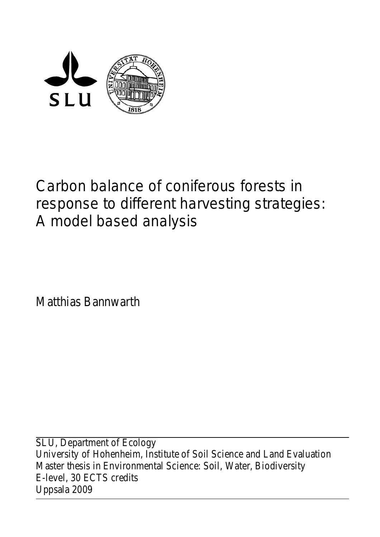

# Carbon balance of coniferous forests in response to different harvesting strategies: A model based analysis

Matthias Bannwarth

SLU, Department of Ecology University of Hohenheim, Institute of Soil Science and Land Evaluation Master thesis in Environmental Science: Soil, Water, Biodiversity E-level, 30 ECTS credits Uppsala 2009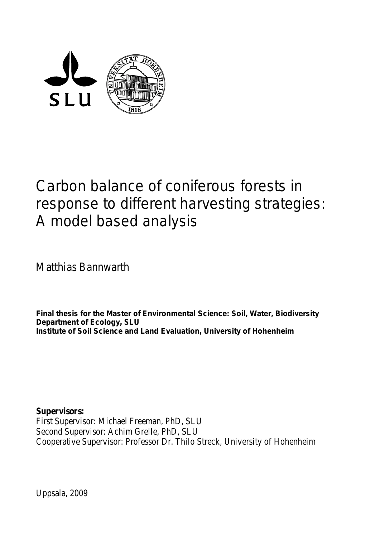

# Carbon balance of coniferous forests in response to different harvesting strategies: A model based analysis

Matthias Bannwarth

**Final thesis for the Master of Environmental Science: Soil, Water, Biodiversity Department of Ecology, SLU Institute of Soil Science and Land Evaluation, University of Hohenheim**

**Supervisors:** First Supervisor: Michael Freeman, PhD, SLU Second Supervisor: Achim Grelle, PhD, SLU Cooperative Supervisor: Professor Dr. Thilo Streck, University of Hohenheim

Uppsala, 2009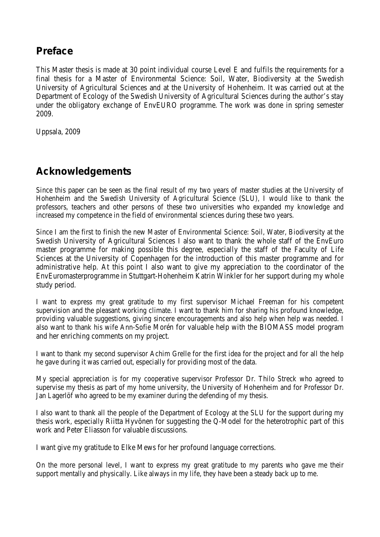# **Preface**

This Master thesis is made at 30 point individual course Level E and fulfils the requirements for a final thesis for a Master of Environmental Science: Soil, Water, Biodiversity at the Swedish University of Agricultural Sciences and at the University of Hohenheim. It was carried out at the Department of Ecology of the Swedish University of Agricultural Sciences during the author's stay under the obligatory exchange of EnvEURO programme. The work was done in spring semester 2009.

Uppsala, 2009

# **Acknowledgements**

Since this paper can be seen as the final result of my two years of master studies at the University of Hohenheim and the Swedish University of Agricultural Science (SLU), I would like to thank the professors, teachers and other persons of these two universities who expanded my knowledge and increased my competence in the field of environmental sciences during these two years.

Since I am the first to finish the new Master of Environmental Science: Soil, Water, Biodiversity at the Swedish University of Agricultural Sciences I also want to thank the whole staff of the EnvEuro master programme for making possible this degree, especially the staff of the Faculty of Life Sciences at the University of Copenhagen for the introduction of this master programme and for administrative help. At this point I also want to give my appreciation to the coordinator of the EnvEuromasterprogramme in Stuttgart-Hohenheim Katrin Winkler for her support during my whole study period.

I want to express my great gratitude to my first supervisor Michael Freeman for his competent supervision and the pleasant working climate. I want to thank him for sharing his profound knowledge, providing valuable suggestions, giving sincere encouragements and also help when help was needed. I also want to thank his wife Ann-Sofie Morén for valuable help with the BIOMASS model program and her enriching comments on my project.

I want to thank my second supervisor Achim Grelle for the first idea for the project and for all the help he gave during it was carried out, especially for providing most of the data.

My special appreciation is for my cooperative supervisor Professor Dr. Thilo Streck who agreed to supervise my thesis as part of my home university, the University of Hohenheim and for Professor Dr. Jan Lagerlöf who agreed to be my examiner during the defending of my thesis.

I also want to thank all the people of the Department of Ecology at the SLU for the support during my thesis work, especially Riitta Hyvönen for suggesting the Q-Model for the heterotrophic part of this work and Peter Eliasson for valuable discussions.

I want give my gratitude to Elke Mews for her profound language corrections.

On the more personal level, I want to express my great gratitude to my parents who gave me their support mentally and physically. Like always in my life, they have been a steady back up to me.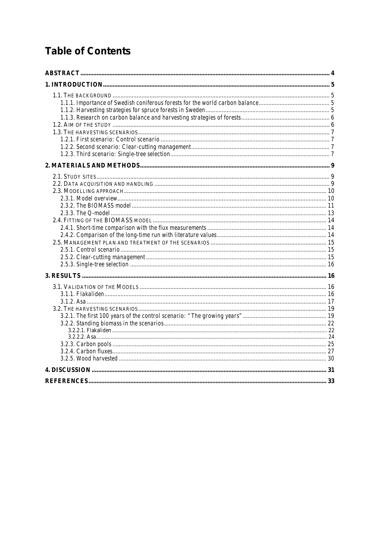# **Table of Contents**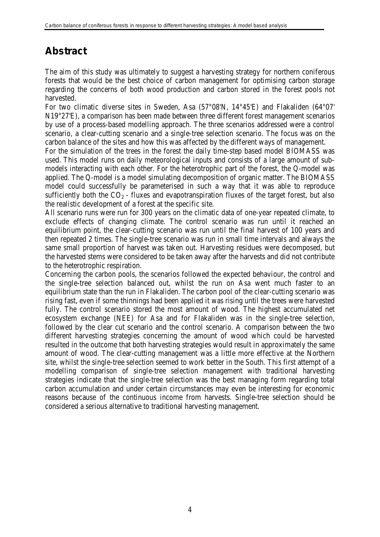# <span id="page-5-0"></span>**Abstract**

The aim of this study was ultimately to suggest a harvesting strategy for northern coniferous forests that would be the best choice of carbon management for optimising carbon storage regarding the concerns of both wood production and carbon stored in the forest pools not harvested.

For two climatic diverse sites in Sweden, Asa (57°08'N, 14°45'E) and Flakaliden (64°07' N19°27'E), a comparison has been made between three different forest management scenarios by use of a process-based modelling approach. The three scenarios addressed were a control scenario, a clear-cutting scenario and a single-tree selection scenario. The focus was on the carbon balance of the sites and how this was affected by the different ways of management.

For the simulation of the trees in the forest the daily time-step based model BIOMASS was used. This model runs on daily meteorological inputs and consists of a large amount of submodels interacting with each other. For the heterotrophic part of the forest, the Q-model was applied. The Q-model is a model simulating decomposition of organic matter. The BIOMASS model could successfully be parameterised in such a way that it was able to reproduce sufficiently both the  $CO<sub>2</sub>$  - fluxes and evapotranspiration fluxes of the target forest, but also the realistic development of a forest at the specific site.

All scenario runs were run for 300 years on the climatic data of one-year repeated climate, to exclude effects of changing climate. The control scenario was run until it reached an equilibrium point, the clear-cutting scenario was run until the final harvest of 100 years and then repeated 2 times. The single-tree scenario was run in small time intervals and always the same small proportion of harvest was taken out. Harvesting residues were decomposed, but the harvested stems were considered to be taken away after the harvests and did not contribute to the heterotrophic respiration.

Concerning the carbon pools, the scenarios followed the expected behaviour, the control and the single-tree selection balanced out, whilst the run on Asa went much faster to an equilibrium state than the run in Flakaliden. The carbon pool of the clear-cutting scenario was rising fast, even if some thinnings had been applied it was rising until the trees were harvested fully. The control scenario stored the most amount of wood. The highest accumulated net ecosystem exchange (NEE) for Asa and for Flakaliden was in the single-tree selection, followed by the clear cut scenario and the control scenario. A comparison between the two different harvesting strategies concerning the amount of wood which could be harvested resulted in the outcome that both harvesting strategies would result in approximately the same amount of wood. The clear-cutting management was a little more effective at the Northern site, whilst the single-tree selection seemed to work better in the South. This first attempt of a modelling comparison of single-tree selection management with traditional harvesting strategies indicate that the single-tree selection was the best managing form regarding total carbon accumulation and under certain circumstances may even be interesting for economic reasons because of the continuous income from harvests. Single-tree selection should be considered a serious alternative to traditional harvesting management.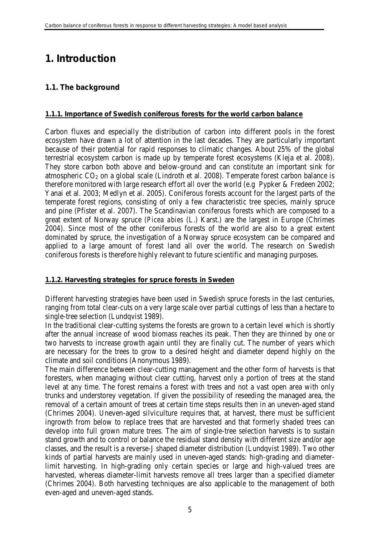# <span id="page-6-0"></span>**1. Introduction**

# <span id="page-6-1"></span>**1.1. The background**

# <span id="page-6-2"></span>**1.1.1. Importance of Swedish coniferous forests for the world carbon balance**

Carbon fluxes and especially the distribution of carbon into different pools in the forest ecosystem have drawn a lot of attention in the last decades. They are particularly important because of their potential for rapid responses to climatic changes. About 25% of the global terrestrial ecosystem carbon is made up by temperate forest ecosystems (Kleja et al. 2008). They store carbon both above and below-ground and can constitute an important sink for atmospheric  $CO<sub>2</sub>$  on a global scale (Lindroth et al. 2008). Temperate forest carbon balance is therefore monitored with large research effort all over the world (e.g Pypker & Fredeen 2002; Yanai et al. 2003; Medlyn et al. 2005). Coniferous forests account for the largest parts of the temperate forest regions, consisting of only a few characteristic tree species, mainly spruce and pine (Pfister et al. 2007). The Scandinavian coniferous forests which are composed to a great extent of Norway spruce (*Picea abies* (L.) Karst.) are the largest in Europe (Chrimes 2004). Since most of the other coniferous forests of the world are also to a great extent dominated by spruce, the investigation of a Norway spruce ecosystem can be compared and applied to a large amount of forest land all over the world. The research on Swedish coniferous forests is therefore highly relevant to future scientific and managing purposes.

# <span id="page-6-3"></span>**1.1.2. Harvesting strategies for spruce forests in Sweden**

Different harvesting strategies have been used in Swedish spruce forests in the last centuries, ranging from total clear-cuts on a very large scale over partial cuttings of less than a hectare to single-tree selection (Lundqvist 1989).

In the traditional clear-cutting systems the forests are grown to a certain level which is shortly after the annual increase of wood biomass reaches its peak. Then they are thinned by one or two harvests to increase growth again until they are finally cut. The number of years which are necessary for the trees to grow to a desired height and diameter depend highly on the climate and soil conditions (Anonymous 1989).

The main difference between clear-cutting management and the other form of harvests is that foresters, when managing without clear cutting, harvest only a portion of trees at the stand level at any time. The forest remains a forest with trees and not a vast open area with only trunks and understorey vegetation. If given the possibility of reseeding the managed area, the removal of a certain amount of trees at certain time steps results then in an uneven-aged stand (Chrimes 2004). Uneven-aged silviculture requires that, at harvest, there must be sufficient ingrowth from below to replace trees that are harvested and that formerly shaded trees can develop into full grown mature trees. The aim of single-tree selection harvests is to sustain stand growth and to control or balance the residual stand density with different size and/or age classes, and the result is a reverse-J shaped diameter distribution (Lundqvist 1989). Two other kinds of partial harvests are mainly used in uneven-aged stands: high-grading and diameterlimit harvesting. In high-grading only certain species or large and high-valued trees are harvested, whereas diameter-limit harvests remove all trees larger than a specified diameter (Chrimes 2004). Both harvesting techniques are also applicable to the management of both even-aged and uneven-aged stands.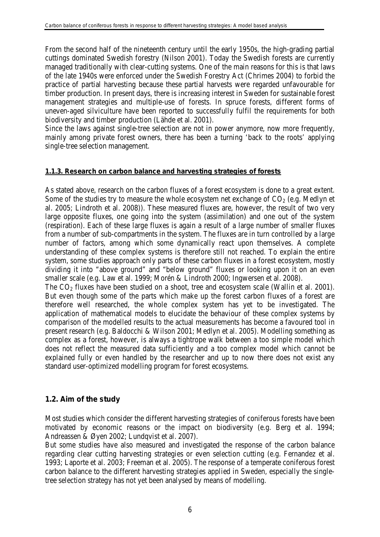From the second half of the nineteenth century until the early 1950s, the high-grading partial cuttings dominated Swedish forestry (Nilson 2001). Today the Swedish forests are currently managed traditionally with clear-cutting systems. One of the main reasons for this is that laws of the late 1940s were enforced under the Swedish Forestry Act (Chrimes 2004) to forbid the practice of partial harvesting because these partial harvests were regarded unfavourable for timber production. In present days, there is increasing interest in Sweden for sustainable forest management strategies and multiple-use of forests. In spruce forests, different forms of uneven-aged silviculture have been reported to successfully fulfil the requirements for both biodiversity and timber production (Lähde et al. 2001).

Since the laws against single-tree selection are not in power anymore, now more frequently, mainly among private forest owners, there has been a turning 'back to the roots' applying single-tree selection management.

#### <span id="page-7-0"></span>**1.1.3. Research on carbon balance and harvesting strategies of forests**

As stated above, research on the carbon fluxes of a forest ecosystem is done to a great extent. Some of the studies try to measure the whole ecosystem net exchange of  $CO<sub>2</sub>$  (e.g. Medlyn et al. 2005; Lindroth et al. 2008)). These measured fluxes are, however, the result of two very large opposite fluxes, one going into the system (assimilation) and one out of the system (respiration). Each of these large fluxes is again a result of a large number of smaller fluxes from a number of sub-compartments in the system. The fluxes are in turn controlled by a large number of factors, among which some dynamically react upon themselves. A complete understanding of these complex systems is therefore still not reached. To explain the entire system, some studies approach only parts of these carbon fluxes in a forest ecosystem, mostly dividing it into "above ground" and "below ground" fluxes or looking upon it on an even smaller scale (e.g. Law et al. 1999; Morén & Lindroth 2000; Ingwersen et al. 2008).

The  $CO<sub>2</sub>$  fluxes have been studied on a shoot, tree and ecosystem scale (Wallin et al. 2001). But even though some of the parts which make up the forest carbon fluxes of a forest are therefore well researched, the whole complex system has yet to be investigated. The application of mathematical models to elucidate the behaviour of these complex systems by comparison of the modelled results to the actual measurements has become a favoured tool in present research (e.g. Baldocchi & Wilson 2001; Medlyn et al. 2005). Modelling something as complex as a forest, however, is always a tightrope walk between a too simple model which does not reflect the measured data sufficiently and a too complex model which cannot be explained fully or even handled by the researcher and up to now there does not exist any standard user-optimized modelling program for forest ecosystems.

#### <span id="page-7-1"></span>**1.2. Aim of the study**

Most studies which consider the different harvesting strategies of coniferous forests have been motivated by economic reasons or the impact on biodiversity (e.g. Berg et al. 1994; Andreassen & Øyen 2002; Lundqvist et al. 2007).

But some studies have also measured and investigated the response of the carbon balance regarding clear cutting harvesting strategies or even selection cutting (e.g. Fernandez et al. 1993; Laporte et al. 2003; Freeman et al. 2005). The response of a temperate coniferous forest carbon balance to the different harvesting strategies applied in Sweden, especially the singletree selection strategy has not yet been analysed by means of modelling.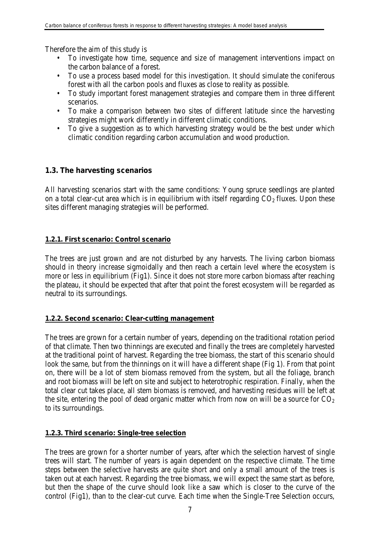Therefore the aim of this study is

- To investigate how time, sequence and size of management interventions impact on the carbon balance of a forest.
- To use a process based model for this investigation. It should simulate the coniferous forest with all the carbon pools and fluxes as close to reality as possible.
- To study important forest management strategies and compare them in three different scenarios.
- To make a comparison between two sites of different latitude since the harvesting strategies might work differently in different climatic conditions.
- To give a suggestion as to which harvesting strategy would be the best under which climatic condition regarding carbon accumulation and wood production.

# <span id="page-8-0"></span>**1.3. The harvesting scenarios**

All harvesting scenarios start with the same conditions: Young spruce seedlings are planted on a total clear-cut area which is in equilibrium with itself regarding  $CO<sub>2</sub>$  fluxes. Upon these sites different managing strategies will be performed.

# <span id="page-8-1"></span>**1.2.1. First scenario: Control scenario**

The trees are just grown and are not disturbed by any harvests. The living carbon biomass should in theory increase sigmoidally and then reach a certain level where the ecosystem is more or less in equilibrium (Fig1). Since it does not store more carbon biomass after reaching the plateau, it should be expected that after that point the forest ecosystem will be regarded as neutral to its surroundings.

# <span id="page-8-2"></span>**1.2.2. Second scenario: Clear-cutting management**

The trees are grown for a certain number of years, depending on the traditional rotation period of that climate. Then two thinnings are executed and finally the trees are completely harvested at the traditional point of harvest. Regarding the tree biomass, the start of this scenario should look the same, but from the thinnings on it will have a different shape (Fig 1). From that point on, there will be a lot of stem biomass removed from the system, but all the foliage, branch and root biomass will be left on site and subject to heterotrophic respiration. Finally, when the total clear cut takes place, all stem biomass is removed, and harvesting residues will be left at the site, entering the pool of dead organic matter which from now on will be a source for  $CO<sub>2</sub>$ to its surroundings.

# <span id="page-8-3"></span>**1.2.3. Third scenario: Single-tree selection**

The trees are grown for a shorter number of years, after which the selection harvest of single trees will start. The number of years is again dependent on the respective climate. The time steps between the selective harvests are quite short and only a small amount of the trees is taken out at each harvest. Regarding the tree biomass, we will expect the same start as before, but then the shape of the curve should look like a saw which is closer to the curve of the control (Fig1), than to the clear-cut curve. Each time when the Single-Tree Selection occurs,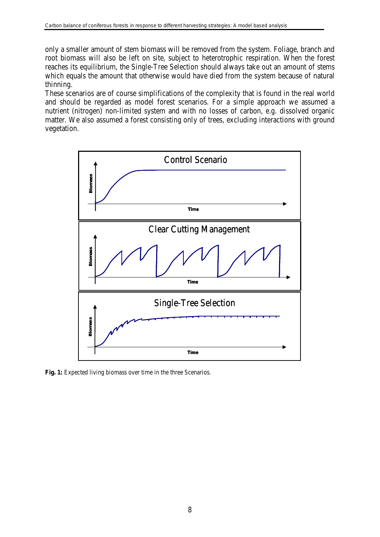only a smaller amount of stem biomass will be removed from the system. Foliage, branch and root biomass will also be left on site, subject to heterotrophic respiration. When the forest reaches its equilibrium, the Single-Tree Selection should always take out an amount of stems which equals the amount that otherwise would have died from the system because of natural thinning.

These scenarios are of course simplifications of the complexity that is found in the real world and should be regarded as model forest scenarios. For a simple approach we assumed a nutrient (nitrogen) non-limited system and with no losses of carbon, e.g. dissolved organic matter. We also assumed a forest consisting only of trees, excluding interactions with ground vegetation.



**Fig. 1:** Expected living biomass over time in the three Scenarios.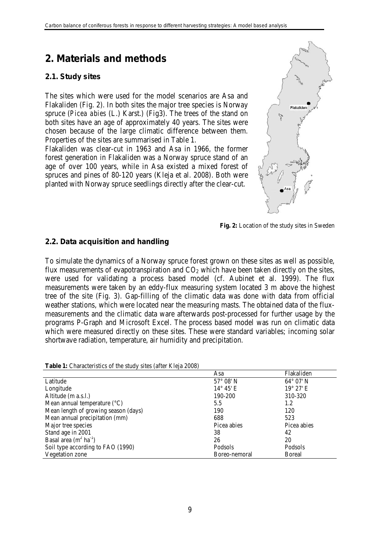# <span id="page-10-0"></span>**2. Materials and methods**

### <span id="page-10-1"></span>**2.1. Study sites**

The sites which were used for the model scenarios are Asa and Flakaliden (Fig. 2). In both sites the major tree species is Norway spruce (*Picea abies* (L.) Karst.) (Fig3). The trees of the stand on both sites have an age of approximately 40 years. The sites were chosen because of the large climatic difference between them. Properties of the sites are summarised in Table 1.

Flakaliden was clear-cut in 1963 and Asa in 1966, the former forest generation in Flakaliden was a Norway spruce stand of an age of over 100 years, while in Asa existed a mixed forest of spruces and pines of 80-120 years (Kleja et al. 2008). Both were planted with Norway spruce seedlings directly after the clear-cut.



**Fig. 2:** Location of the study sites in Sweden

### <span id="page-10-2"></span>**2.2. Data acquisition and handling**

To simulate the dynamics of a Norway spruce forest grown on these sites as well as possible, flux measurements of evapotranspiration and  $CO<sub>2</sub>$  which have been taken directly on the sites, were used for validating a process based model (cf. Aubinet et al. 1999). The flux measurements were taken by an eddy-flux measuring system located 3 m above the highest tree of the site (Fig. 3). Gap-filling of the climatic data was done with data from official weather stations, which were located near the measuring masts. The obtained data of the fluxmeasurements and the climatic data ware afterwards post-processed for further usage by the programs P-Graph and Microsoft Excel. The process based model was run on climatic data which were measured directly on these sites. These were standard variables; incoming solar shortwave radiation, temperature, air humidity and precipitation.

**Table 1:** Characteristics of the study sites (after Kleia 2008)

|                                         | Asa                | Flakaliden         |
|-----------------------------------------|--------------------|--------------------|
| Latitude                                | $57^\circ 08'$ N   | $64^{\circ}$ 07' N |
| Longitude                               | $14^{\circ} 45' E$ | $19^{\circ} 27'E$  |
| Altitude (m a.s.l.)                     | 190-200            | 310-320            |
| Mean annual temperature $({}^{\circ}C)$ | 5.5                | 1.2                |
| Mean length of growing season (days)    | 190                | 120                |
| Mean annual precipitation (mm)          | 688                | 523                |
| Major tree species                      | Picea abies        | Picea abies        |
| Stand age in 2001                       | 38                 | 42                 |
| Basal area $(m^2 \text{ ha}^{-1})$      | 26                 | 20                 |
| Soil type according to FAO (1990)       | Podsols            | Podsols            |
| Vegetation zone                         | Boreo-nemoral      | <b>Boreal</b>      |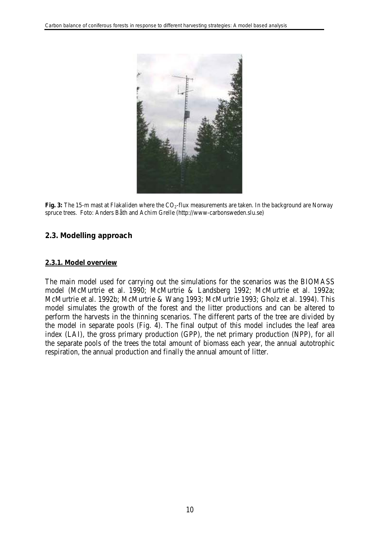

Fig. 3: The 15-m mast at Flakaliden where the CO<sub>2</sub>-flux measurements are taken. In the background are Norway spruce trees. Foto: Anders Båth and Achim Grelle (http://www-carbonsweden.slu.se)

# <span id="page-11-0"></span>**2.3. Modelling approach**

#### <span id="page-11-1"></span>**2.3.1. Model overview**

The main model used for carrying out the simulations for the scenarios was the BIOMASS model (McMurtrie et al. 1990; McMurtrie & Landsberg 1992; McMurtrie et al. 1992a; McMurtrie et al. 1992b; McMurtrie & Wang 1993; McMurtrie 1993; Gholz et al. 1994). This model simulates the growth of the forest and the litter productions and can be altered to perform the harvests in the thinning scenarios. The different parts of the tree are divided by the model in separate pools (Fig. 4). The final output of this model includes the leaf area index (LAI), the gross primary production (GPP), the net primary production (NPP), for all the separate pools of the trees the total amount of biomass each year, the annual autotrophic respiration, the annual production and finally the annual amount of litter.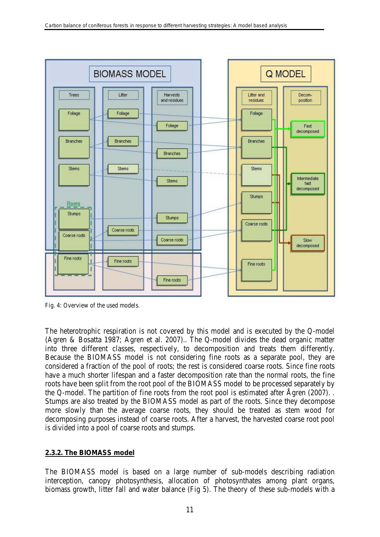

Fig. 4: Overview of the used models.

The heterotrophic respiration is not covered by this model and is executed by the Q-model (Agren & Bosatta 1987; Agren et al. 2007).. The Q-model divides the dead organic matter into three different classes, respectively, to decomposition and treats them differently. Because the BIOMASS model is not considering fine roots as a separate pool, they are considered a fraction of the pool of roots; the rest is considered coarse roots. Since fine roots have a much shorter lifespan and a faster decomposition rate than the normal roots, the fine roots have been split from the root pool of the BIOMASS model to be processed separately by the Q-model. The partition of fine roots from the root pool is estimated after Ågren (2007). . Stumps are also treated by the BIOMASS model as part of the roots. Since they decompose more slowly than the average coarse roots, they should be treated as stem wood for decomposing purposes instead of coarse roots. After a harvest, the harvested coarse root pool is divided into a pool of coarse roots and stumps.

#### <span id="page-12-0"></span>**2.3.2. The BIOMASS model**

The BIOMASS model is based on a large number of sub-models describing radiation interception, canopy photosynthesis, allocation of photosynthates among plant organs, biomass growth, litter fall and water balance (Fig 5). The theory of these sub-models with a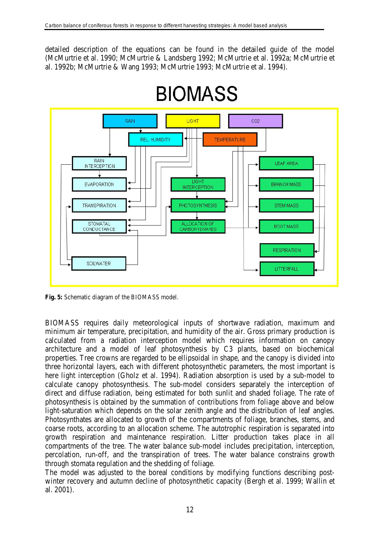detailed description of the equations can be found in the detailed guide of the model (McMurtrie et al. 1990; McMurtrie & Landsberg 1992; McMurtrie et al. 1992a; McMurtrie et al. 1992b; McMurtrie & Wang 1993; McMurtrie 1993; McMurtrie et al. 1994).



# **BIOMASS**

**Fig. 5:** Schematic diagram of the BIOMASS model.

BIOMASS requires daily meteorological inputs of shortwave radiation, maximum and minimum air temperature, precipitation, and humidity of the air. Gross primary production is calculated from a radiation interception model which requires information on canopy architecture and a model of leaf photosynthesis by C3 plants, based on biochemical properties. Tree crowns are regarded to be ellipsoidal in shape, and the canopy is divided into three horizontal layers, each with different photosynthetic parameters, the most important is here light interception (Gholz et al. 1994). Radiation absorption is used by a sub-model to calculate canopy photosynthesis. The sub-model considers separately the interception of direct and diffuse radiation, being estimated for both sunlit and shaded foliage. The rate of photosynthesis is obtained by the summation of contributions from foliage above and below light-saturation which depends on the solar zenith angle and the distribution of leaf angles. Photosynthates are allocated to growth of the compartments of foliage, branches, stems, and coarse roots, according to an allocation scheme. The autotrophic respiration is separated into growth respiration and maintenance respiration. Litter production takes place in all compartments of the tree. The water balance sub-model includes precipitation, interception, percolation, run-off, and the transpiration of trees. The water balance constrains growth through stomata regulation and the shedding of foliage.

The model was adjusted to the boreal conditions by modifying functions describing postwinter recovery and autumn decline of photosynthetic capacity (Bergh et al. 1999; Wallin et al. 2001).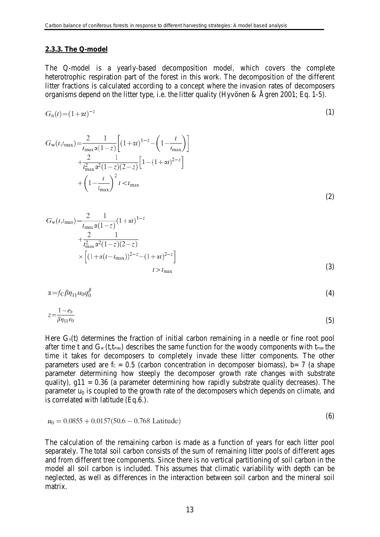#### <span id="page-14-0"></span>**2.3.3. The Q-model**

The Q-model is a yearly-based decomposition model, which covers the complete heterotrophic respiration part of the forest in this work. The decomposition of the different litter fractions is calculated according to a concept where the invasion rates of decomposers organisms depend on the litter type, i.e. the litter quality (Hyvönen & Ågren 2001; Eq. 1-5).

$$
G_n(t) = (1 + \alpha t)^{-z} \tag{1}
$$

$$
G_{\rm w}(t, t_{\rm max}) = \frac{2}{t_{\rm max} \alpha (1-z)} \left[ (1+\alpha t)^{1-z} - \left( 1 - \frac{t}{t_{\rm max}} \right) \right] + \frac{2}{t_{\rm max}^2 \alpha^2 (1-z)(2-z)} \left[ 1 - (1+\alpha t)^{2-z} \right] + \left( 1 - \frac{t}{t_{\rm max}} \right)^2 t < t_{\rm max}
$$
\n(2)

$$
G_{\rm w}(t, t_{\rm max}) = \frac{2}{t_{\rm max} \alpha (1-z)} (1+\alpha t)^{1-z}
$$
  
+ 
$$
\frac{2}{t_{\rm max}^2 \alpha^2 (1-z)(2-z)}
$$
  
+ 
$$
\left[ (1+\alpha (t-t_{\rm max}))^{2-z} - (1+\alpha t)^{2-z} \right]
$$
  

$$
t > t_{\rm max}
$$
 (3)

$$
\alpha = f_C \beta \eta_{11} u_0 q_0^{\beta}
$$
\n
$$
1 - e_0 \tag{4}
$$

$$
z - \overline{\beta \eta_{11} e_0} \tag{5}
$$

Here  $G_n(t)$  determines the fraction of initial carbon remaining in a needle or fine root pool after time t and  $G_w(t,t_{max})$  describes the same function for the woody components with  $t_{max}$  the time it takes for decomposers to completely invade these litter components. The other parameters used are  $f_c = 0.5$  (carbon concentration in decomposer biomass), b= 7 (a shape parameter determining how steeply the decomposer growth rate changes with substrate quality),  $g11 = 0.36$  (a parameter determining how rapidly substrate quality decreases). The parameter  $u_0$  is coupled to the growth rate of the decomposers which depends on climate, and is correlated with latitude (Eq.6.).

$$
u_0 = 0.0855 + 0.0157(50.6 - 0.768 \text{ Latitude})
$$
 (9)

 $(6)$ 

The calculation of the remaining carbon is made as a function of years for each litter pool separately. The total soil carbon consists of the sum of remaining litter pools of different ages and from different tree components. Since there is no vertical partitioning of soil carbon in the model all soil carbon is included. This assumes that climatic variability with depth can be neglected, as well as differences in the interaction between soil carbon and the mineral soil matrix.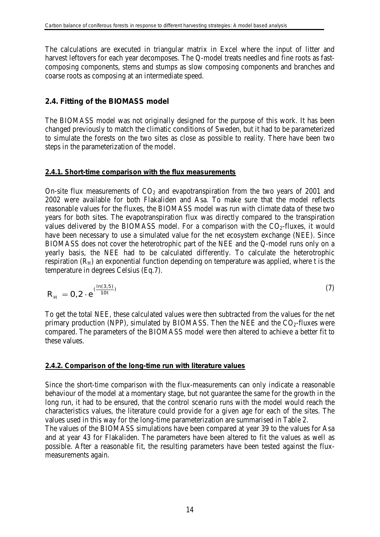The calculations are executed in triangular matrix in Excel where the input of litter and harvest leftovers for each year decomposes. The Q-model treats needles and fine roots as fastcomposing components, stems and stumps as slow composing components and branches and coarse roots as composing at an intermediate speed.

### <span id="page-15-0"></span>**2.4. Fitting of the BIOMASS model**

The BIOMASS model was not originally designed for the purpose of this work. It has been changed previously to match the climatic conditions of Sweden, but it had to be parameterized to simulate the forests on the two sites as close as possible to reality. There have been two steps in the parameterization of the model.

#### <span id="page-15-1"></span>**2.4.1. Short-time comparison with the flux measurements**

On-site flux measurements of  $CO<sub>2</sub>$  and evapotranspiration from the two years of 2001 and 2002 were available for both Flakaliden and Asa. To make sure that the model reflects reasonable values for the fluxes, the BIOMASS model was run with climate data of these two years for both sites. The evapotranspiration flux was directly compared to the transpiration values delivered by the BIOMASS model. For a comparison with the  $CO<sub>2</sub>$ -fluxes, it would have been necessary to use a simulated value for the net ecosystem exchange (NEE). Since BIOMASS does not cover the heterotrophic part of the NEE and the Q-model runs only on a yearly basis, the NEE had to be calculated differently. To calculate the heterotrophic respiration  $(R_H)$  an exponential function depending on temperature was applied, where t is the temperature in degrees Celsius (Eq.7).

$$
R_H = 0.2 \cdot e^{(\frac{\ln(3.5)}{10t})}
$$
 (7)

To get the total NEE, these calculated values were then subtracted from the values for the net primary production (NPP), simulated by BIOMASS. Then the NEE and the  $CO<sub>2</sub>$ -fluxes were compared. The parameters of the BIOMASS model were then altered to achieve a better fit to these values.

#### <span id="page-15-2"></span>**2.4.2. Comparison of the long-time run with literature values**

Since the short-time comparison with the flux-measurements can only indicate a reasonable behaviour of the model at a momentary stage, but not guarantee the same for the growth in the long run, it had to be ensured, that the control scenario runs with the model would reach the characteristics values, the literature could provide for a given age for each of the sites. The values used in this way for the long-time parameterization are summarised in Table 2.

The values of the BIOMASS simulations have been compared at year 39 to the values for Asa and at year 43 for Flakaliden. The parameters have been altered to fit the values as well as possible. After a reasonable fit, the resulting parameters have been tested against the fluxmeasurements again.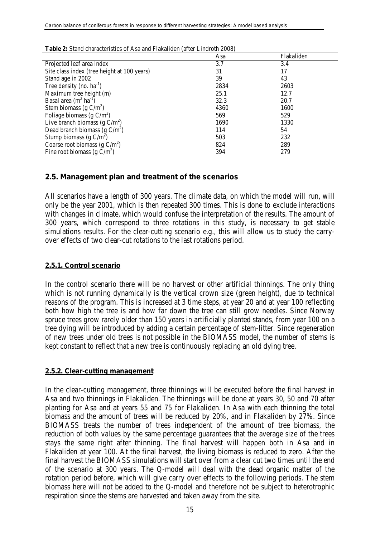| $\alpha$ characteristics of the and transmitted (after Emalour 2000) |      |            |  |  |
|----------------------------------------------------------------------|------|------------|--|--|
|                                                                      | Asa  | Flakaliden |  |  |
| Projected leaf area index                                            | 3.7  | 3.4        |  |  |
| Site class index (tree height at 100 years)                          | 31   | 17         |  |  |
| Stand age in 2002                                                    | 39   | 43         |  |  |
| Tree density (no. $ha^{-1}$ )                                        | 2834 | 2603       |  |  |
| Maximum tree height (m)                                              | 25.1 | 12.7       |  |  |
| Basal area $(m^2 \text{ ha}^{-1})$                                   | 32.3 | 20.7       |  |  |
| Stem biomass (g $C/m^2$ )                                            | 4360 | 1600       |  |  |
| Foliage biomass (g $C/m^2$ )                                         | 569  | 529        |  |  |
| Live branch biomass (g $C/m^2$ )                                     | 1690 | 1330       |  |  |
| Dead branch biomass (g $C/m2$ )                                      | 114  | 54         |  |  |
| Stump biomass (g $C/m^2$ )                                           | 503  | 232        |  |  |
| Coarse root biomass (g $C/m^2$ )                                     | 824  | 289        |  |  |
| Fine root biomass (g $C/m^2$ )                                       | 394  | 279        |  |  |

**Table 2:** Stand characteristics of Asa and Flakaliden (after Lindroth 2008)

### <span id="page-16-0"></span>**2.5. Management plan and treatment of the scenarios**

All scenarios have a length of 300 years. The climate data, on which the model will run, will only be the year 2001, which is then repeated 300 times. This is done to exclude interactions with changes in climate, which would confuse the interpretation of the results. The amount of 300 years, which correspond to three rotations in this study, is necessary to get stable simulations results. For the clear-cutting scenario e.g., this will allow us to study the carryover effects of two clear-cut rotations to the last rotations period.

#### <span id="page-16-1"></span>**2.5.1. Control scenario**

In the control scenario there will be no harvest or other artificial thinnings. The only thing which is not running dynamically is the vertical crown size (green height), due to technical reasons of the program. This is increased at 3 time steps, at year 20 and at year 100 reflecting both how high the tree is and how far down the tree can still grow needles. Since Norway spruce trees grow rarely older than 150 years in artificially planted stands, from year 100 on a tree dying will be introduced by adding a certain percentage of stem-litter. Since regeneration of new trees under old trees is not possible in the BIOMASS model, the number of stems is kept constant to reflect that a new tree is continuously replacing an old dying tree.

#### <span id="page-16-2"></span>**2.5.2. Clear-cutting management**

In the clear-cutting management, three thinnings will be executed before the final harvest in Asa and two thinnings in Flakaliden. The thinnings will be done at years 30, 50 and 70 after planting for Asa and at years 55 and 75 for Flakaliden. In Asa with each thinning the total biomass and the amount of trees will be reduced by 20%, and in Flakaliden by 27%. Since BIOMASS treats the number of trees independent of the amount of tree biomass, the reduction of both values by the same percentage guarantees that the average size of the trees stays the same right after thinning. The final harvest will happen both in Asa and in Flakaliden at year 100. At the final harvest, the living biomass is reduced to zero. After the final harvest the BIOMASS simulations will start over from a clear cut two times until the end of the scenario at 300 years. The Q-model will deal with the dead organic matter of the rotation period before, which will give carry over effects to the following periods. The stem biomass here will not be added to the Q-model and therefore not be subject to heterotrophic respiration since the stems are harvested and taken away from the site.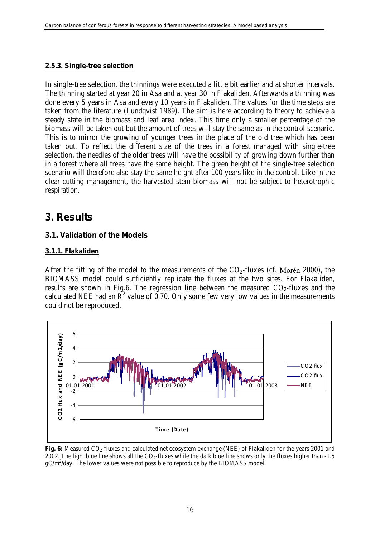#### <span id="page-17-0"></span>**2.5.3. Single-tree selection**

In single-tree selection, the thinnings were executed a little bit earlier and at shorter intervals. The thinning started at year 20 in Asa and at year 30 in Flakaliden. Afterwards a thinning was done every 5 years in Asa and every 10 years in Flakaliden. The values for the time steps are taken from the literature (Lundqvist 1989). The aim is here according to theory to achieve a steady state in the biomass and leaf area index. This time only a smaller percentage of the biomass will be taken out but the amount of trees will stay the same as in the control scenario. This is to mirror the growing of younger trees in the place of the old tree which has been taken out. To reflect the different size of the trees in a forest managed with single-tree selection, the needles of the older trees will have the possibility of growing down further than in a forest where all trees have the same height. The green height of the single-tree selection scenario will therefore also stay the same height after 100 years like in the control. Like in the clear-cutting management, the harvested stem-biomass will not be subject to heterotrophic respiration.

# <span id="page-17-1"></span>**3. Results**

### <span id="page-17-2"></span>**3.1. Validation of the Models**

#### <span id="page-17-3"></span>**3.1.1. Flakaliden**

After the fitting of the model to the measurements of the  $CO<sub>2</sub>$ -fluxes (cf. Morén 2000), the BIOMASS model could sufficiently replicate the fluxes at the two sites. For Flakaliden, results are shown in Fig.6. The regression line between the measured  $CO<sub>2</sub>$ -fluxes and the calculated NEE had an  $\overline{R}^2$  value of 0.70. Only some few very low values in the measurements could not be reproduced.



**Fig. 6:** Measured CO<sub>2</sub>-fluxes and calculated net ecosystem exchange (NEE) of Flakaliden for the years 2001 and 2002. The light blue line shows all the  $CO<sub>2</sub>$ -fluxes while the dark blue line shows only the fluxes higher than  $-1.5$  $gC/m^2$ /day. The lower values were not possible to reproduce by the BIOMASS model.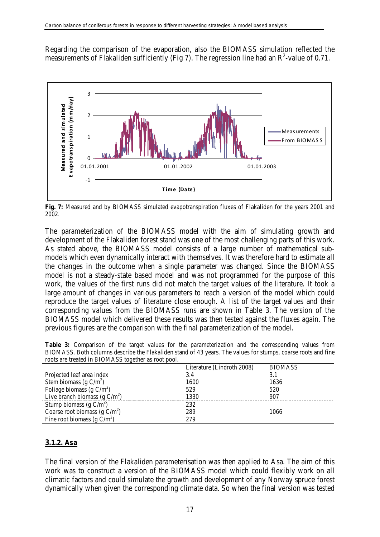Regarding the comparison of the evaporation, also the BIOMASS simulation reflected the measurements of Flakaliden sufficiently (Fig 7). The regression line had an  $\mathbb{R}^2$ -value of 0.71.



**Fig. 7:** Measured and by BIOMASS simulated evapotranspiration fluxes of Flakaliden for the years 2001 and 2002.

The parameterization of the BIOMASS model with the aim of simulating growth and development of the Flakaliden forest stand was one of the most challenging parts of this work. As stated above, the BIOMASS model consists of a large number of mathematical submodels which even dynamically interact with themselves. It was therefore hard to estimate all the changes in the outcome when a single parameter was changed. Since the BIOMASS model is not a steady-state based model and was not programmed for the purpose of this work, the values of the first runs did not match the target values of the literature. It took a large amount of changes in various parameters to reach a version of the model which could reproduce the target values of literature close enough. A list of the target values and their corresponding values from the BIOMASS runs are shown in Table 3. The version of the BIOMASS model which delivered these results was then tested against the fluxes again. The previous figures are the comparison with the final parameterization of the model.

|  |                                                     |  |  |  | <b>Table 3:</b> Comparison of the target values for the parameterization and the corresponding values from    |  |  |  |  |
|--|-----------------------------------------------------|--|--|--|---------------------------------------------------------------------------------------------------------------|--|--|--|--|
|  |                                                     |  |  |  | BIOMASS. Both columns describe the Flakaliden stand of 43 years. The values for stumps, coarse roots and fine |  |  |  |  |
|  | roots are treated in BIOMASS together as root pool. |  |  |  |                                                                                                               |  |  |  |  |

| Literature (Lindroth 2008) | <b>BIOMASS</b> |
|----------------------------|----------------|
| 3.4                        | 3.1            |
| 1600                       | 1636           |
| 529                        | 520            |
| 1330                       | 907            |
| 232                        |                |
| 289                        | 1066           |
| 279                        |                |
|                            |                |

# <span id="page-18-0"></span>**3.1.2. Asa**

The final version of the Flakaliden parameterisation was then applied to Asa. The aim of this work was to construct a version of the BIOMASS model which could flexibly work on all climatic factors and could simulate the growth and development of any Norway spruce forest dynamically when given the corresponding climate data. So when the final version was tested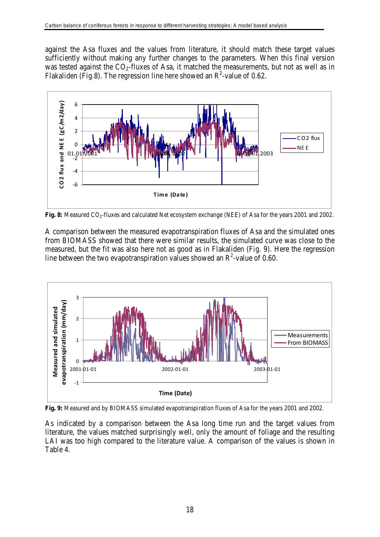against the Asa fluxes and the values from literature, it should match these target values sufficiently without making any further changes to the parameters. When this final version was tested against the  $CO<sub>2</sub>$ -fluxes of Asa, it matched the measurements, but not as well as in Flakaliden (Fig.8). The regression line here showed an  $R^2$ -value of 0.62.



**Fig. 8:** Measured CO<sub>2</sub>-fluxes and calculated Net ecosystem exchange (NEE) of Asa for the years 2001 and 2002.

A comparison between the measured evapotranspiration fluxes of Asa and the simulated ones from BIOMASS showed that there were similar results, the simulated curve was close to the measured, but the fit was also here not as good as in Flakaliden (Fig. 9). Here the regression line between the two evapotranspiration values showed an  $\mathbb{R}^2$ -value of 0.60.



**Fig. 9:** Measured and by BIOMASS simulated evapotranspiration fluxes of Asa for the years 2001 and 2002.

As indicated by a comparison between the Asa long time run and the target values from literature, the values matched surprisingly well, only the amount of foliage and the resulting LAI was too high compared to the literature value. A comparison of the values is shown in Table 4.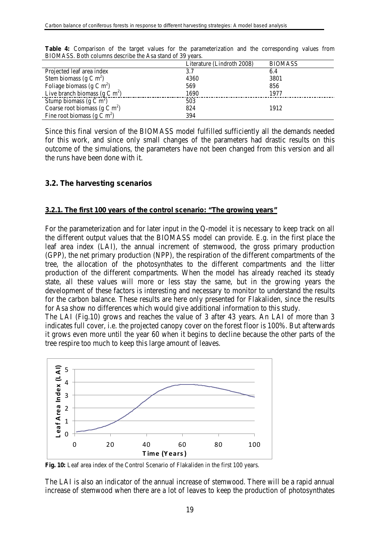|                                           | Literature (Lindroth 2008) | <b>BIOMASS</b> |
|-------------------------------------------|----------------------------|----------------|
| Projected leaf area index                 | 3.7                        | 6.4            |
| Stem biomass (g C m <sup>2</sup> )        | 4360                       | 3801           |
| Foliage biomass ( $g \text{ C m}^2$ )     | 569                        | 856            |
| Live branch biomass ( $g \text{ C m}^2$ ) | 1690                       | 1977           |
| Stump biomass $(g C m^2)$                 | 503                        |                |
| Coarse root biomass (g C m <sup>2</sup> ) | 824                        | 1912           |
| Fine root biomass (g C m <sup>2</sup> )   | 394                        |                |

Table 4: Comparison of the target values for the parameterization and the corresponding values from BIOMASS. Both columns describe the Asa stand of 39 years.

Since this final version of the BIOMASS model fulfilled sufficiently all the demands needed for this work, and since only small changes of the parameters had drastic results on this outcome of the simulations, the parameters have not been changed from this version and all the runs have been done with it.

### <span id="page-20-0"></span>**3.2. The harvesting scenarios**

#### <span id="page-20-1"></span>**3.2.1. The first 100 years of the control scenario: "The growing years"**

For the parameterization and for later input in the Q-model it is necessary to keep track on all the different output values that the BIOMASS model can provide. E.g. in the first place the leaf area index (LAI), the annual increment of stemwood, the gross primary production (GPP), the net primary production (NPP), the respiration of the different compartments of the tree, the allocation of the photosynthates to the different compartments and the litter production of the different compartments. When the model has already reached its steady state, all these values will more or less stay the same, but in the growing years the development of these factors is interesting and necessary to monitor to understand the results for the carbon balance. These results are here only presented for Flakaliden, since the results for Asa show no differences which would give additional information to this study.

The LAI (Fig.10) grows and reaches the value of 3 after 43 years. An LAI of more than 3 indicates full cover, i.e. the projected canopy cover on the forest floor is 100%. But afterwards it grows even more until the year 60 when it begins to decline because the other parts of the tree respire too much to keep this large amount of leaves.



Fig. 10: Leaf area index of the Control Scenario of Flakaliden in the first 100 years.

The LAI is also an indicator of the annual increase of stemwood. There will be a rapid annual increase of stemwood when there are a lot of leaves to keep the production of photosynthates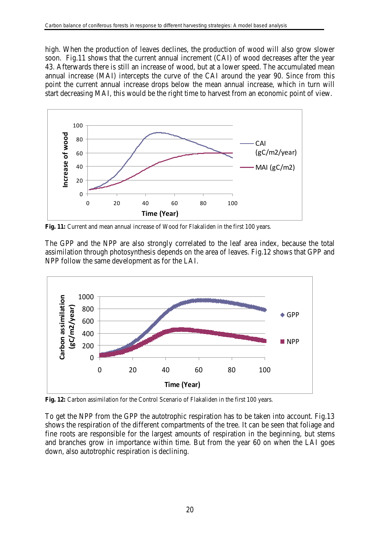high. When the production of leaves declines, the production of wood will also grow slower soon. Fig.11 shows that the current annual increment (CAI) of wood decreases after the year 43. Afterwards there is still an increase of wood, but at a lower speed. The accumulated mean annual increase (MAI) intercepts the curve of the CAI around the year 90. Since from this point the current annual increase drops below the mean annual increase, which in turn will start decreasing MAI, this would be the right time to harvest from an economic point of view.



**Fig. 11:** Current and mean annual increase of Wood for Flakaliden in the first 100 years.

The GPP and the NPP are also strongly correlated to the leaf area index, because the total assimilation through photosynthesis depends on the area of leaves. Fig.12 shows that GPP and NPP follow the same development as for the LAI.



**Fig. 12:** Carbon assimilation for the Control Scenario of Flakaliden in the first 100 years.

To get the NPP from the GPP the autotrophic respiration has to be taken into account. Fig.13 shows the respiration of the different compartments of the tree. It can be seen that foliage and fine roots are responsible for the largest amounts of respiration in the beginning, but stems and branches grow in importance within time. But from the year 60 on when the LAI goes down, also autotrophic respiration is declining.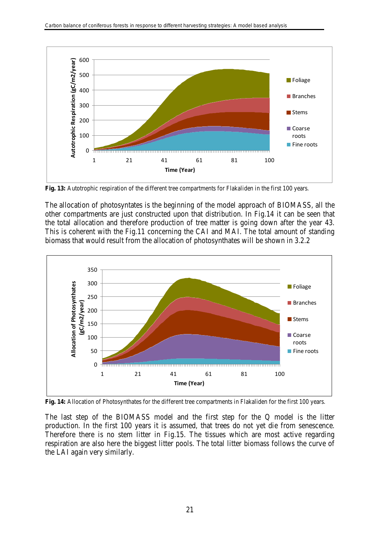

**Fig. 13:** Autotrophic respiration of the different tree compartments for Flakaliden in the first 100 years.

The allocation of photosyntates is the beginning of the model approach of BIOMASS, all the other compartments are just constructed upon that distribution. In Fig.14 it can be seen that the total allocation and therefore production of tree matter is going down after the year 43. This is coherent with the Fig.11 concerning the CAI and MAI. The total amount of standing biomass that would result from the allocation of photosynthates will be shown in 3.2.2



**Fig. 14:** Allocation of Photosynthates for the different tree compartments in Flakaliden for the first 100 years.

The last step of the BIOMASS model and the first step for the Q model is the litter production. In the first 100 years it is assumed, that trees do not yet die from senescence. Therefore there is no stem litter in Fig.15. The tissues which are most active regarding respiration are also here the biggest litter pools. The total litter biomass follows the curve of the LAI again very similarly.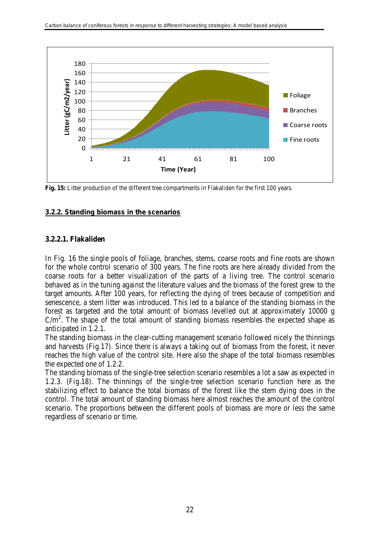

**Fig. 15:** Litter production of the different tree compartments in Flakaliden for the first 100 years.

#### <span id="page-23-0"></span>**3.2.2. Standing biomass in the scenarios**

### <span id="page-23-1"></span>**3.2.2.1. Flakaliden**

In Fig. 16 the single pools of foliage, branches, stems, coarse roots and fine roots are shown for the whole control scenario of 300 years. The fine roots are here already divided from the coarse roots for a better visualization of the parts of a living tree. The control scenario behaved as in the tuning against the literature values and the biomass of the forest grew to the target amounts. After 100 years, for reflecting the dying of trees because of competition and senescence, a stem litter was introduced. This led to a balance of the standing biomass in the forest as targeted and the total amount of biomass levelled out at approximately 10000 g  $C/m<sup>2</sup>$ . The shape of the total amount of standing biomass resembles the expected shape as anticipated in 1.2.1.

The standing biomass in the clear-cutting management scenario followed nicely the thinnings and harvests (Fig.17). Since there is always a taking out of biomass from the forest, it never reaches the high value of the control site. Here also the shape of the total biomass resembles the expected one of 1.2.2.

The standing biomass of the single-tree selection scenario resembles a lot a saw as expected in 1.2.3. (Fig.18). The thinnings of the single-tree selection scenario function here as the stabilizing effect to balance the total biomass of the forest like the stem dying does in the control. The total amount of standing biomass here almost reaches the amount of the control scenario. The proportions between the different pools of biomass are more or less the same regardless of scenario or time.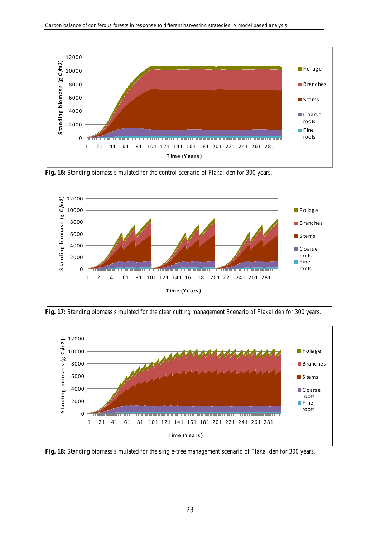

**Fig. 16:** Standing biomass simulated for the control scenario of Flakaliden for 300 years.



**Fig. 17:** Standing biomass simulated for the clear cutting management Scenario of Flakaliden for 300 years.



**Fig. 18:** Standing biomass simulated for the single-tree management scenario of Flakaliden for 300 years.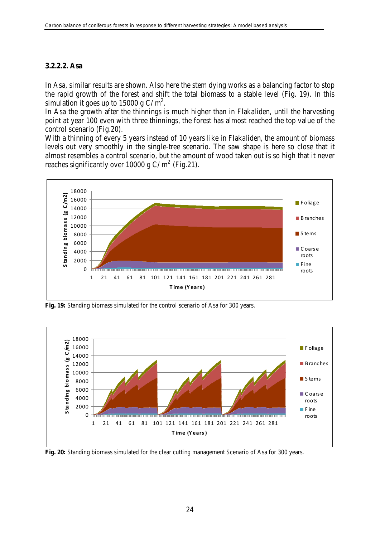#### <span id="page-25-0"></span>**3.2.2.2. Asa**

In Asa, similar results are shown. Also here the stem dying works as a balancing factor to stop the rapid growth of the forest and shift the total biomass to a stable level (Fig. 19). In this simulation it goes up to 15000 g C/ $m^2$ .

In Asa the growth after the thinnings is much higher than in Flakaliden, until the harvesting point at year 100 even with three thinnings, the forest has almost reached the top value of the control scenario (Fig.20).

With a thinning of every 5 years instead of 10 years like in Flakaliden, the amount of biomass levels out very smoothly in the single-tree scenario. The saw shape is here so close that it almost resembles a control scenario, but the amount of wood taken out is so high that it never reaches significantly over 10000 g C/m<sup>2</sup> (Fig.21).



**Fig. 19:** Standing biomass simulated for the control scenario of Asa for 300 years.



**Fig. 20:** Standing biomass simulated for the clear cutting management Scenario of Asa for 300 years.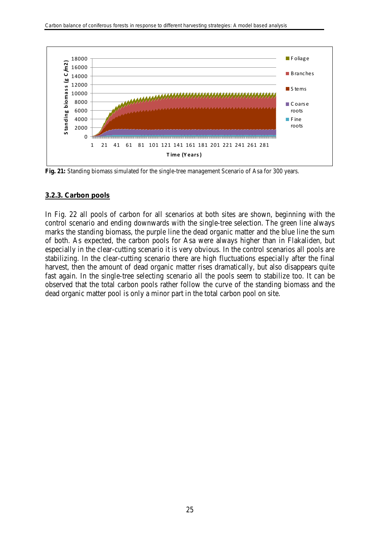

**Fig. 21:** Standing biomass simulated for the single-tree management Scenario of Asa for 300 years.

#### <span id="page-26-0"></span>**3.2.3. Carbon pools**

In Fig. 22 all pools of carbon for all scenarios at both sites are shown, beginning with the control scenario and ending downwards with the single-tree selection. The green line always marks the standing biomass, the purple line the dead organic matter and the blue line the sum of both. As expected, the carbon pools for Asa were always higher than in Flakaliden, but especially in the clear-cutting scenario it is very obvious. In the control scenarios all pools are stabilizing. In the clear-cutting scenario there are high fluctuations especially after the final harvest, then the amount of dead organic matter rises dramatically, but also disappears quite fast again. In the single-tree selecting scenario all the pools seem to stabilize too. It can be observed that the total carbon pools rather follow the curve of the standing biomass and the dead organic matter pool is only a minor part in the total carbon pool on site.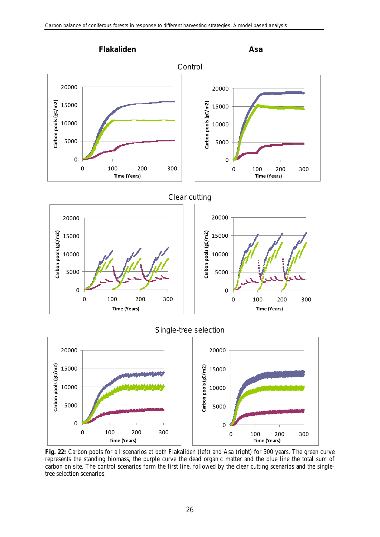

# Single-tree selection



**Fig. 22:** Carbon pools for all scenarios at both Flakaliden (left) and Asa (right) for 300 years. The green curve represents the standing biomass, the purple curve the dead organic matter and the blue line the total sum of carbon on site. The control scenarios form the first line, followed by the clear cutting scenarios and the singletree selection scenarios.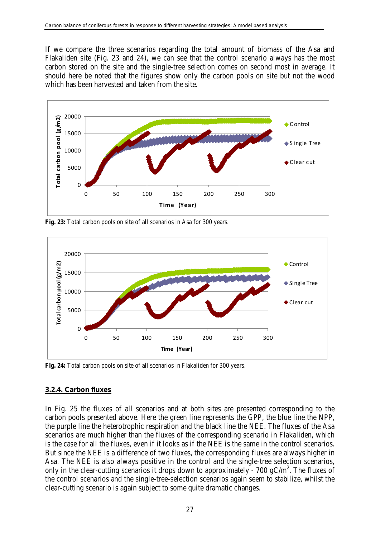If we compare the three scenarios regarding the total amount of biomass of the Asa and Flakaliden site (Fig. 23 and 24), we can see that the control scenario always has the most carbon stored on the site and the single-tree selection comes on second most in average. It should here be noted that the figures show only the carbon pools on site but not the wood which has been harvested and taken from the site.



**Fig. 23:** Total carbon pools on site of all scenarios in Asa for 300 years.



**Fig. 24:** Total carbon pools on site of all scenarios in Flakaliden for 300 years.

# <span id="page-28-0"></span>**3.2.4. Carbon fluxes**

In Fig. 25 the fluxes of all scenarios and at both sites are presented corresponding to the carbon pools presented above. Here the green line represents the GPP, the blue line the NPP, the purple line the heterotrophic respiration and the black line the NEE. The fluxes of the Asa scenarios are much higher than the fluxes of the corresponding scenario in Flakaliden, which is the case for all the fluxes, even if it looks as if the NEE is the same in the control scenarios. But since the NEE is a difference of two fluxes, the corresponding fluxes are always higher in Asa. The NEE is also always positive in the control and the single-tree selection scenarios, only in the clear-cutting scenarios it drops down to approximately - 700  $gC/m^2$ . The fluxes of the control scenarios and the single-tree-selection scenarios again seem to stabilize, whilst the clear-cutting scenario is again subject to some quite dramatic changes.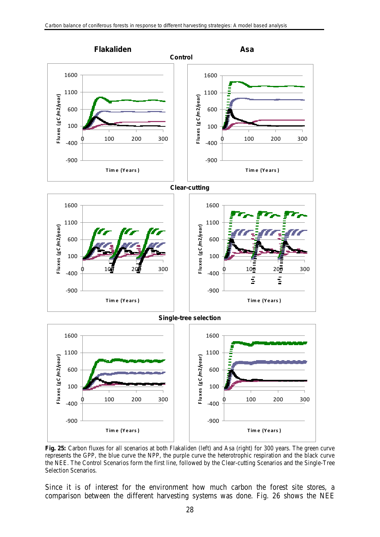

represents the GPP, the blue curve the NPP, the purple curve the heterotrophic respiration and the black curve the NEE. The Control Scenarios form the first line, followed by the Clear-cutting Scenarios and the Single-Tree Selection Scenarios.

Since it is of interest for the environment how much carbon the forest site stores, a comparison between the different harvesting systems was done. Fig. 26 shows the NEE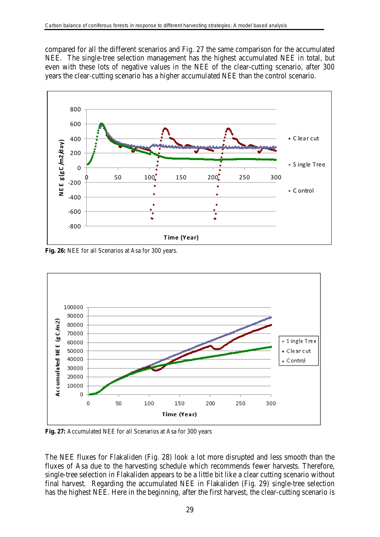compared for all the different scenarios and Fig. 27 the same comparison for the accumulated NEE. The single-tree selection management has the highest accumulated NEE in total, but even with these lots of negative values in the NEE of the clear-cutting scenario, after 300 years the clear-cutting scenario has a higher accumulated NEE than the control scenario.



**Fig. 26:** NEE for all Scenarios at Asa for 300 years.



**Fig. 27:** Accumulated NEE for all Scenarios at Asa for 300 years

The NEE fluxes for Flakaliden (Fig. 28) look a lot more disrupted and less smooth than the fluxes of Asa due to the harvesting schedule which recommends fewer harvests. Therefore, single-tree selection in Flakaliden appears to be a little bit like a clear cutting scenario without final harvest. Regarding the accumulated NEE in Flakaliden (Fig. 29) single-tree selection has the highest NEE. Here in the beginning, after the first harvest, the clear-cutting scenario is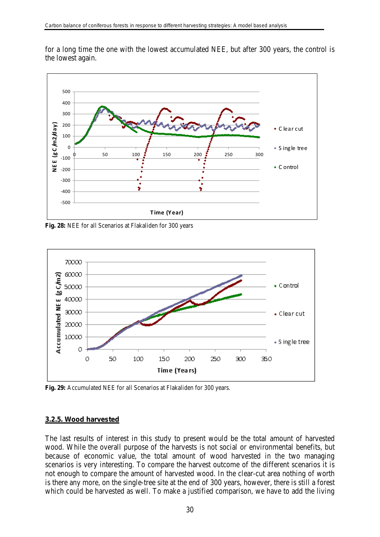for a long time the one with the lowest accumulated NEE, but after 300 years, the control is the lowest again.



**Fig. 28:** NEE for all Scenarios at Flakaliden for 300 years



**Fig. 29:** Accumulated NEE for all Scenarios at Flakaliden for 300 years.

#### <span id="page-31-0"></span>**3.2.5. Wood harvested**

The last results of interest in this study to present would be the total amount of harvested wood. While the overall purpose of the harvests is not social or environmental benefits, but because of economic value, the total amount of wood harvested in the two managing scenarios is very interesting. To compare the harvest outcome of the different scenarios it is not enough to compare the amount of harvested wood. In the clear-cut area nothing of worth is there any more, on the single-tree site at the end of 300 years, however, there is still a forest which could be harvested as well. To make a justified comparison, we have to add the living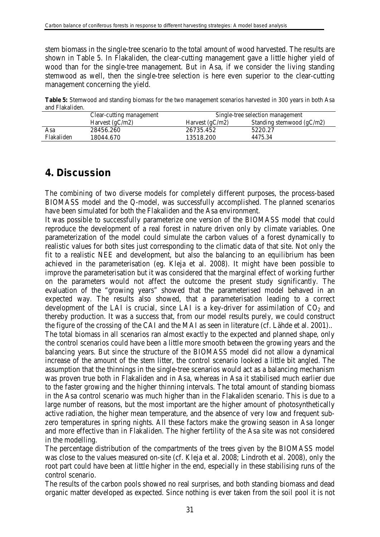stem biomass in the single-tree scenario to the total amount of wood harvested. The results are shown in Table 5. In Flakaliden, the clear-cutting management gave a little higher yield of wood than for the single-tree management. But in Asa, if we consider the living standing stemwood as well, then the single-tree selection is here even superior to the clear-cutting management concerning the yield.

**Table 5:** Stemwood and standing biomass for the two management scenarios harvested in 300 years in both Asa and Flakaliden.

|            | Clear-cutting management | Single-tree selection management |                             |  |  |
|------------|--------------------------|----------------------------------|-----------------------------|--|--|
|            | Harvest $(gC/m2)$        | Harvest $(gC/m2)$                | Standing stemwood $(gC/m2)$ |  |  |
| Asa        | 28456.260                | 26735.452                        | 5220.27                     |  |  |
| Flakaliden | 18044.670                | 13518.200                        | 4475.34                     |  |  |

# <span id="page-32-0"></span>**4. Discussion**

The combining of two diverse models for completely different purposes, the process-based BIOMASS model and the Q-model, was successfully accomplished. The planned scenarios have been simulated for both the Flakaliden and the Asa environment.

It was possible to successfully parameterize one version of the BIOMASS model that could reproduce the development of a real forest in nature driven only by climate variables. One parameterization of the model could simulate the carbon values of a forest dynamically to realistic values for both sites just corresponding to the climatic data of that site. Not only the fit to a realistic NEE and development, but also the balancing to an equilibrium has been achieved in the parameterisation (eg. Kleja et al. 2008). It might have been possible to improve the parameterisation but it was considered that the marginal effect of working further on the parameters would not affect the outcome the present study significantly. The evaluation of the "growing years" showed that the parameterised model behaved in an expected way. The results also showed, that a parameterisation leading to a correct development of the LAI is crucial, since LAI is a key-driver for assimilation of  $CO<sub>2</sub>$  and thereby production. It was a success that, from our model results purely, we could construct the figure of the crossing of the CAI and the MAI as seen in literature (cf. Lähde et al. 2001).. The total biomass in all scenarios ran almost exactly to the expected and planned shape, only the control scenarios could have been a little more smooth between the growing years and the balancing years. But since the structure of the BIOMASS model did not allow a dynamical increase of the amount of the stem litter, the control scenario looked a little bit angled. The assumption that the thinnings in the single-tree scenarios would act as a balancing mechanism was proven true both in Flakaliden and in Asa, whereas in Asa it stabilised much earlier due to the faster growing and the higher thinning intervals. The total amount of standing biomass in the Asa control scenario was much higher than in the Flakaliden scenario. This is due to a large number of reasons, but the most important are the higher amount of photosynthetically active radiation, the higher mean temperature, and the absence of very low and frequent subzero temperatures in spring nights. All these factors make the growing season in Asa longer and more effective than in Flakaliden. The higher fertility of the Asa site was not considered in the modelling.

The percentage distribution of the compartments of the trees given by the BIOMASS model was close to the values measured on-site (cf. Kleja et al. 2008; Lindroth et al. 2008), only the root part could have been at little higher in the end, especially in these stabilising runs of the control scenario.

The results of the carbon pools showed no real surprises, and both standing biomass and dead organic matter developed as expected. Since nothing is ever taken from the soil pool it is not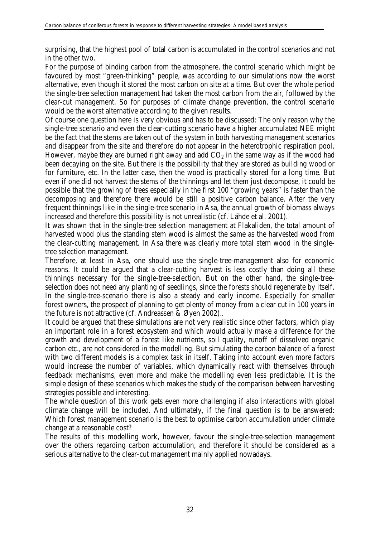surprising, that the highest pool of total carbon is accumulated in the control scenarios and not in the other two.

For the purpose of binding carbon from the atmosphere, the control scenario which might be favoured by most "green-thinking" people, was according to our simulations now the worst alternative, even though it stored the most carbon on site at a time. But over the whole period the single-tree selection management had taken the most carbon from the air, followed by the clear-cut management. So for purposes of climate change prevention, the control scenario would be the worst alternative according to the given results.

Of course one question here is very obvious and has to be discussed: The only reason why the single-tree scenario and even the clear-cutting scenario have a higher accumulated NEE might be the fact that the stems are taken out of the system in both harvesting management scenarios and disappear from the site and therefore do not appear in the heterotrophic respiration pool. However, maybe they are burned right away and add  $CO<sub>2</sub>$  in the same way as if the wood had been decaying on the site. But there is the possibility that they are stored as building wood or for furniture, etc. In the latter case, then the wood is practically stored for a long time. But even if one did not harvest the stems of the thinnings and let them just decompose, it could be possible that the growing of trees especially in the first 100 "growing years" is faster than the decomposing and therefore there would be still a positive carbon balance. After the very frequent thinnings like in the single-tree scenario in Asa, the annual growth of biomass always increased and therefore this possibility is not unrealistic (cf. Lähde et al. 2001).

It was shown that in the single-tree selection management at Flakaliden, the total amount of harvested wood plus the standing stem wood is almost the same as the harvested wood from the clear-cutting management. In Asa there was clearly more total stem wood in the singletree selection management.

Therefore, at least in Asa, one should use the single-tree-management also for economic reasons. It could be argued that a clear-cutting harvest is less costly than doing all these thinnings necessary for the single-tree-selection. But on the other hand, the single-treeselection does not need any planting of seedlings, since the forests should regenerate by itself. In the single-tree-scenario there is also a steady and early income. Especially for smaller forest owners, the prospect of planning to get plenty of money from a clear cut in 100 years in the future is not attractive (cf. Andreassen & Øyen 2002)..

It could be argued that these simulations are not very realistic since other factors, which play an important role in a forest ecosystem and which would actually make a difference for the growth and development of a forest like nutrients, soil quality, runoff of dissolved organic carbon etc., are not considered in the modelling. But simulating the carbon balance of a forest with two different models is a complex task in itself. Taking into account even more factors would increase the number of variables, which dynamically react with themselves through feedback mechanisms, even more and make the modelling even less predictable. It is the simple design of these scenarios which makes the study of the comparison between harvesting strategies possible and interesting.

The whole question of this work gets even more challenging if also interactions with global climate change will be included. And ultimately, if the final question is to be answered: Which forest management scenario is the best to optimise carbon accumulation under climate change at a reasonable cost?

The results of this modelling work, however, favour the single-tree-selection management over the others regarding carbon accumulation, and therefore it should be considered as a serious alternative to the clear-cut management mainly applied nowadays.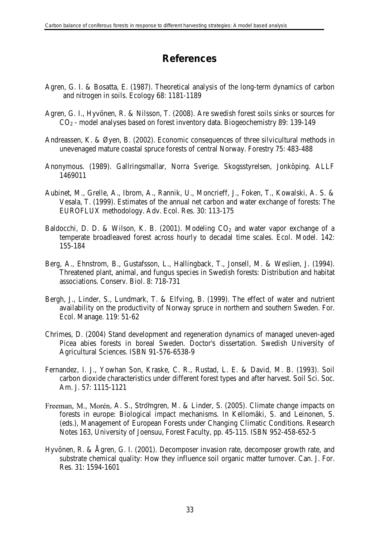# **References**

- <span id="page-34-0"></span>Agren, G. I. & Bosatta, E. (1987). Theoretical analysis of the long-term dynamics of carbon and nitrogen in soils. Ecology 68: 1181-1189
- Agren, G. I., Hyvönen, R. & Nilsson, T. (2008). Are swedish forest soils sinks or sources for CO2 - model analyses based on forest inventory data. Biogeochemistry 89: 139-149
- Andreassen, K. & Øyen, B. (2002). Economic consequences of three silvicultural methods in unevenaged mature coastal spruce forests of central Norway. Forestry 75: 483-488
- Anonymous. (1989). Gallringsmallar, Norra Sverige. Skogsstyrelsen, Jonköping. ALLF 1469011
- Aubinet, M., Grelle, A., Ibrom, A., Rannik, U., Moncrieff, J., Foken, T., Kowalski, A. S. & Vesala, T. (1999). Estimates of the annual net carbon and water exchange of forests: The EUROFLUX methodology. Adv. Ecol. Res. 30: 113-175
- Baldocchi, D. D. & Wilson, K. B. (2001). Modeling  $CO<sub>2</sub>$  and water vapor exchange of a temperate broadleaved forest across hourly to decadal time scales. Ecol. Model. 142: 155-184
- Berg, A., Ehnstrom, B., Gustafsson, L., Hallingback, T., Jonsell, M. & Weslien, J. (1994). Threatened plant, animal, and fungus species in Swedish forests: Distribution and habitat associations. Conserv. Biol. 8: 718-731
- Bergh, J., Linder, S., Lundmark, T. & Elfving, B. (1999). The effect of water and nutrient availability on the productivity of Norway spruce in northern and southern Sweden. For. Ecol. Manage. 119: 51-62
- Chrimes, D. (2004) Stand development and regeneration dynamics of managed uneven-aged Picea abies forests in boreal Sweden. Doctor's dissertation. Swedish University of Agricultural Sciences. ISBN 91-576-6538-9
- Fernandez, I. J., Yowhan Son, Kraske, C. R., Rustad, L. E. & David, M. B. (1993). Soil carbon dioxide characteristics under different forest types and after harvest. Soil Sci. Soc. Am. J. 57: 1115-1121
- Freeman, M., Morén, A. S., Stromgren, M. & Linder, S. (2005). Climate change impacts on forests in europe: Biological impact mechanisms. In Kellomäki, S. and Leinonen, S. (eds.), Management of European Forests under Changing Climatic Conditions. Research Notes 163, University of Joensuu, Forest Faculty, pp. 45-115. ISBN 952-458-652-5
- Hyvönen, R. & Ågren, G. I. (2001). Decomposer invasion rate, decomposer growth rate, and substrate chemical quality: How they influence soil organic matter turnover. Can. J. For. Res. 31: 1594-1601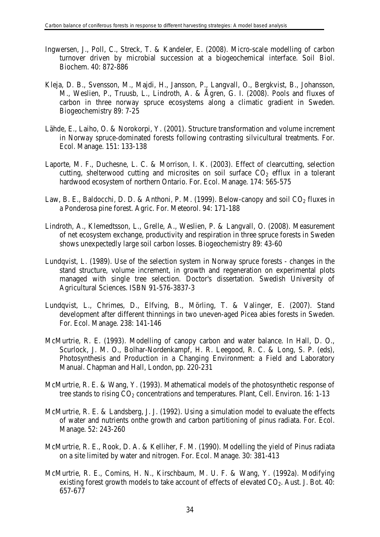- Ingwersen, J., Poll, C., Streck, T. & Kandeler, E. (2008). Micro-scale modelling of carbon turnover driven by microbial succession at a biogeochemical interface. Soil Biol. Biochem. 40: 872-886
- Kleja, D. B., Svensson, M., Majdi, H., Jansson, P., Langvall, O., Bergkvist, B., Johansson, M., Weslien, P., Truusb, L., Lindroth, A. & Ågren, G. I. (2008). Pools and fluxes of carbon in three norway spruce ecosystems along a climatic gradient in Sweden. Biogeochemistry 89: 7-25
- Lähde, E., Laiho, O. & Norokorpi, Y. (2001). Structure transformation and volume increment in Norway spruce-dominated forests following contrasting silvicultural treatments. For. Ecol. Manage. 151: 133-138
- Laporte, M. F., Duchesne, L. C. & Morrison, I. K. (2003). Effect of clearcutting, selection cutting, shelterwood cutting and microsites on soil surface  $CO<sub>2</sub>$  efflux in a tolerant hardwood ecosystem of northern Ontario. For. Ecol. Manage. 174: 565-575
- Law, B. E., Baldocchi, D. D. & Anthoni, P. M. (1999). Below-canopy and soil  $CO<sub>2</sub>$  fluxes in a Ponderosa pine forest. Agric. For. Meteorol. 94: 171-188
- Lindroth, A., Klemedtsson, L., Grelle, A., Weslien, P. & Langvall, O. (2008). Measurement of net ecosystem exchange, productivity and respiration in three spruce forests in Sweden shows unexpectedly large soil carbon losses. Biogeochemistry 89: 43-60
- Lundqvist, L. (1989). Use of the selection system in Norway spruce forests changes in the stand structure, volume increment, in growth and regeneration on experimental plots managed with single tree selection. Doctor's dissertation. Swedish University of Agricultural Sciences. ISBN 91-576-3837-3
- Lundqvist, L., Chrimes, D., Elfving, B., Mörling, T. & Valinger, E. (2007). Stand development after different thinnings in two uneven-aged Picea abies forests in Sweden. For. Ecol. Manage. 238: 141-146
- McMurtrie, R. E. (1993). Modelling of canopy carbon and water balance. In Hall, D. O., Scurlock, J. M. O., Bolhar-Nordenkampf, H. R. Leegood, R. C. & Long, S. P. (eds), Photosynthesis and Production in a Changing Environment: a Field and Laboratory Manual. Chapman and Hall, London, pp. 220-231
- McMurtrie, R. E. & Wang, Y. (1993). Mathematical models of the photosynthetic response of tree stands to rising  $CO<sub>2</sub>$  concentrations and temperatures. Plant, Cell. Environ. 16: 1-13
- McMurtrie, R. E. & Landsberg, J. J. (1992). Using a simulation model to evaluate the effects of water and nutrients onthe growth and carbon partitioning of pinus radiata. For. Ecol. Manage. 52: 243-260
- McMurtrie, R. E., Rook, D. A. & Kelliher, F. M. (1990). Modelling the yield of Pinus radiata on a site limited by water and nitrogen. For. Ecol. Manage. 30: 381-413
- McMurtrie, R. E., Comins, H. N., Kirschbaum, M. U. F. & Wang, Y. (1992a). Modifying existing forest growth models to take account of effects of elevated  $CO<sub>2</sub>$ . Aust. J. Bot. 40: 657-677